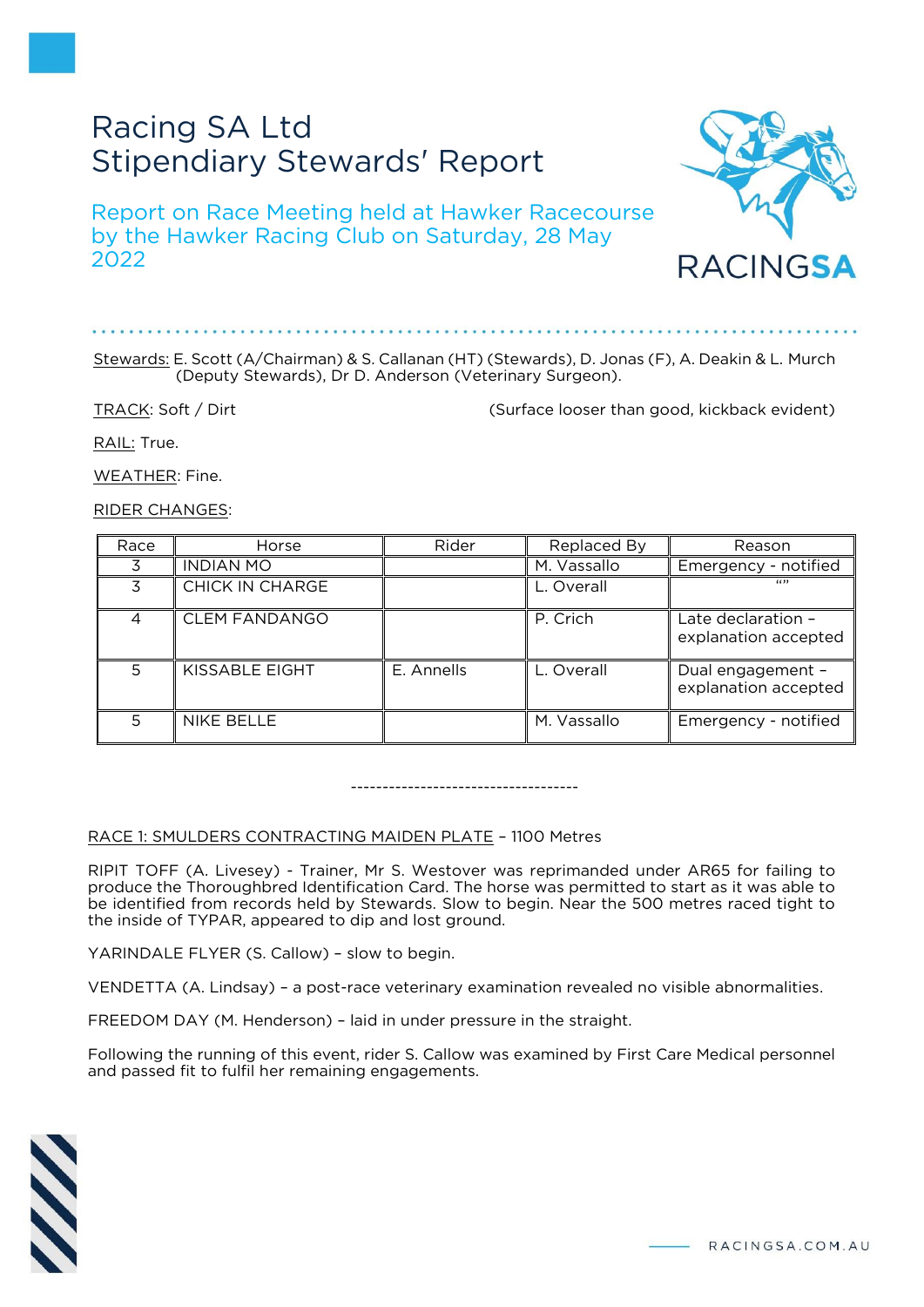# Racing SA Ltd Stipendiary Stewards' Report

Report on Race Meeting held at Hawker Racecourse by the Hawker Racing Club on Saturday, 28 May 2022



#### Stewards: E. Scott (A/Chairman) & S. Callanan (HT) (Stewards), D. Jonas (F), A. Deakin & L. Murch (Deputy Stewards), Dr D. Anderson (Veterinary Surgeon).

TRACK: Soft / Dirt (Surface looser than good, kickback evident)

RACINGSA

RAIL: True.

WEATHER: Fine.

RIDER CHANGES:

| Race | Horse                | Rider      | Replaced By | Reason                                     |
|------|----------------------|------------|-------------|--------------------------------------------|
|      | <b>INDIAN MO</b>     |            | M. Vassallo | Emergency - notified                       |
|      | CHICK IN CHARGE      |            | L. Overall  | 6633                                       |
| 4    | <b>CLEM FANDANGO</b> |            | P. Crich    | Late declaration -<br>explanation accepted |
| 5    | KISSABLE EIGHT       | E. Annells | L. Overall  | Dual engagement -<br>explanation accepted  |
| 5    | <b>NIKE BELLE</b>    |            | M. Vassallo | Emergency - notified                       |

------------------------------------

## RACE 1: SMULDERS CONTRACTING MAIDEN PLATE – 1100 Metres

RIPIT TOFF (A. Livesey) - Trainer, Mr S. Westover was reprimanded under AR65 for failing to produce the Thoroughbred Identification Card. The horse was permitted to start as it was able to be identified from records held by Stewards. Slow to begin. Near the 500 metres raced tight to the inside of TYPAR, appeared to dip and lost ground.

YARINDALE FLYER (S. Callow) – slow to begin.

VENDETTA (A. Lindsay) – a post-race veterinary examination revealed no visible abnormalities.

FREEDOM DAY (M. Henderson) – laid in under pressure in the straight.

Following the running of this event, rider S. Callow was examined by First Care Medical personnel and passed fit to fulfil her remaining engagements.

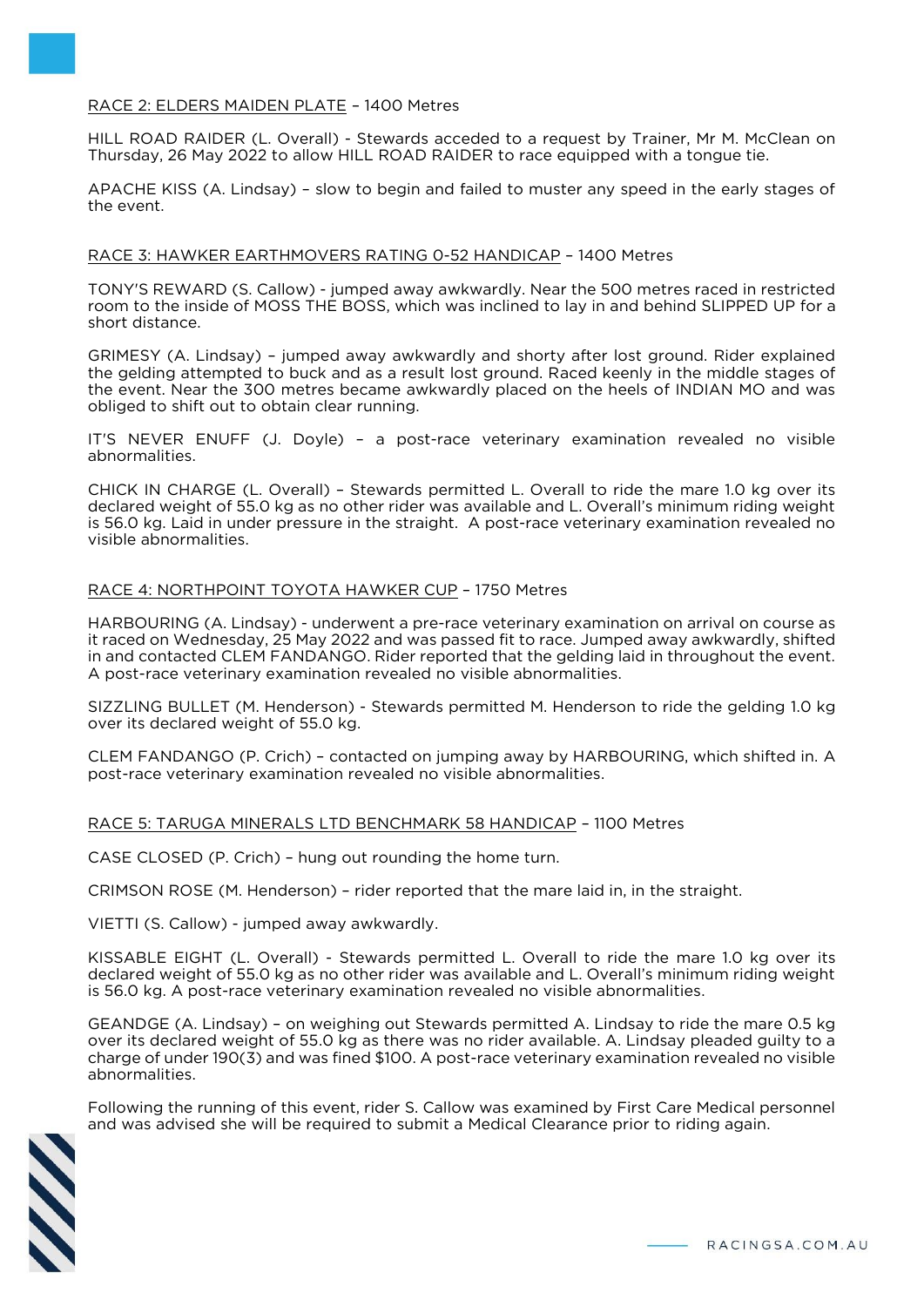### RACE 2: ELDERS MAIDEN PLATE – 1400 Metres

HILL ROAD RAIDER (L. Overall) - Stewards acceded to a request by Trainer, Mr M. McClean on Thursday, 26 May 2022 to allow HILL ROAD RAIDER to race equipped with a tongue tie.

APACHE KISS (A. Lindsay) – slow to begin and failed to muster any speed in the early stages of the event.

#### RACE 3: HAWKER EARTHMOVERS RATING 0-52 HANDICAP – 1400 Metres

TONY'S REWARD (S. Callow) - jumped away awkwardly. Near the 500 metres raced in restricted room to the inside of MOSS THE BOSS, which was inclined to lay in and behind SLIPPED UP for a short distance.

GRIMESY (A. Lindsay) – jumped away awkwardly and shorty after lost ground. Rider explained the gelding attempted to buck and as a result lost ground. Raced keenly in the middle stages of the event. Near the 300 metres became awkwardly placed on the heels of INDIAN MO and was obliged to shift out to obtain clear running.

IT'S NEVER ENUFF (J. Doyle) – a post-race veterinary examination revealed no visible abnormalities.

CHICK IN CHARGE (L. Overall) – Stewards permitted L. Overall to ride the mare 1.0 kg over its declared weight of 55.0 kg as no other rider was available and L. Overall's minimum riding weight is 56.0 kg. Laid in under pressure in the straight. A post-race veterinary examination revealed no visible abnormalities.

#### RACE 4: NORTHPOINT TOYOTA HAWKER CUP – 1750 Metres

HARBOURING (A. Lindsay) - underwent a pre-race veterinary examination on arrival on course as it raced on Wednesday, 25 May 2022 and was passed fit to race. Jumped away awkwardly, shifted in and contacted CLEM FANDANGO. Rider reported that the gelding laid in throughout the event. A post-race veterinary examination revealed no visible abnormalities.

SIZZLING BULLET (M. Henderson) - Stewards permitted M. Henderson to ride the gelding 1.0 kg over its declared weight of 55.0 kg.

CLEM FANDANGO (P. Crich) – contacted on jumping away by HARBOURING, which shifted in. A post-race veterinary examination revealed no visible abnormalities.

#### RACE 5: TARUGA MINERALS LTD BENCHMARK 58 HANDICAP – 1100 Metres

CASE CLOSED (P. Crich) – hung out rounding the home turn.

CRIMSON ROSE (M. Henderson) – rider reported that the mare laid in, in the straight.

VIETTI (S. Callow) - jumped away awkwardly.

KISSABLE EIGHT (L. Overall) - Stewards permitted L. Overall to ride the mare 1.0 kg over its declared weight of 55.0 kg as no other rider was available and L. Overall's minimum riding weight is 56.0 kg. A post-race veterinary examination revealed no visible abnormalities.

GEANDGE (A. Lindsay) – on weighing out Stewards permitted A. Lindsay to ride the mare 0.5 kg over its declared weight of 55.0 kg as there was no rider available. A. Lindsay pleaded guilty to a charge of under 190(3) and was fined \$100. A post-race veterinary examination revealed no visible abnormalities.

Following the running of this event, rider S. Callow was examined by First Care Medical personnel and was advised she will be required to submit a Medical Clearance prior to riding again.